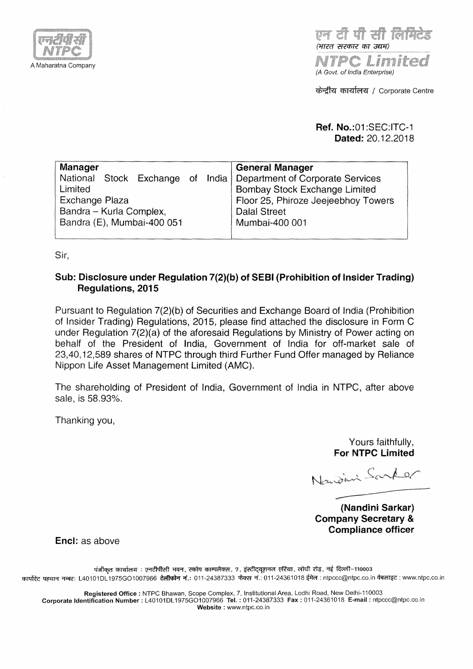

Telet eller till elle (भारत सरकार का उद्यम)

e Limi (A Govt. of India Enterprise)

केन्द्रीय कार्यालय / Corporate Centre

**Ref. No.:01** :SEC:ITC-1 **Dated:** 20.12.2018

| Manager                                                           |                     | <b>General Manager</b>              |  |  |  |  |
|-------------------------------------------------------------------|---------------------|-------------------------------------|--|--|--|--|
| National Stock Exchange of India Department of Corporate Services |                     |                                     |  |  |  |  |
| Limited                                                           |                     | Bombay Stock Exchange Limited       |  |  |  |  |
| Exchange Plaza                                                    |                     | Floor 25, Phiroze Jeejeebhoy Towers |  |  |  |  |
| Bandra - Kurla Complex,                                           | <b>Dalal Street</b> |                                     |  |  |  |  |
| Bandra (E), Mumbai-400 051                                        | Mumbai-400 001      |                                     |  |  |  |  |
|                                                                   |                     |                                     |  |  |  |  |

Sir,

# **Sub: Disclosure under Regulation 7(2)(b) of SEBI (Prohibition of Insider Trading) Regulations, 2015**

Pursuant to Regulation 7(2)(b) of Securities and Exchange Board of India (Prohibition of Insider Trading) Regulations, 2015, please find attached the disclosure in Form C under Regulation 7(2)(a) of the aforesaid Regulations by Ministry of Power acting on behalf of the President of India, Government of India for off-market sale of 23,40, 12,589 shares of NTPC through third Further Fund Offer managed by Reliance Nippon Life Asset Management Limited (AMC).

The shareholding of President of India, Government of India in NTPC, after above sale, is 58.93%.

Thanking you,

Yours faithfully, **For NTPC Limited** 

Nandini Sarker

**(Nandini Sarkar) Company Secretary** & **Compliance officer** 

**Encl:** as above

पंजीकृत कार्यालय : एनटीपीसी भवन, स्कोप काम्पलैक्स, 7, इंस्टीट्यूशनल एरिया, लोधी रोड़, नई दिल्ली–110003 ~ ~ 'fl'<R": L40101DL 1975G01007966 **~;:f.:** 011-24387333 ~ "'i'.: 011-24361018~: ntpccc@ntpc.co.in~:www.ntpc.co.in

**Registered Office** : NTPC Bhawan, Scope Complex, 7, Institutional Area, Lodhi Road, New Delhi-110003 **Corporate Identification Number** : L40101DL 1975G01007966 **Tel.** : 011-24387333 **Fax** : 011-24361018 **E-mail** : ntpccc@ntpc.co.in **Website** : www.ntpc.co.in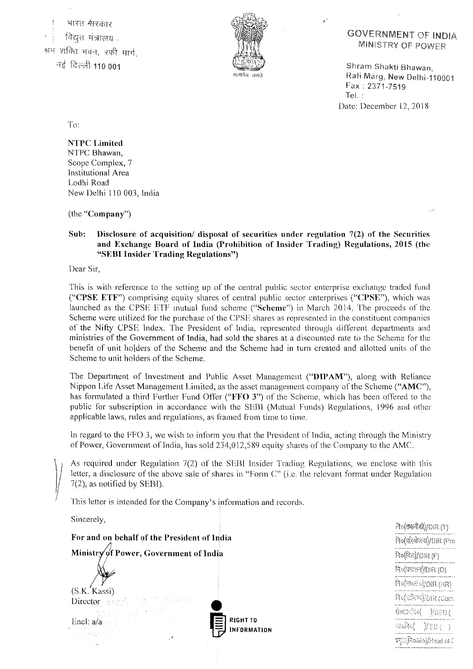भारत *सरकार* विद्युत मंत्रालय<sup>्</sup> .<br>श्रम शक्ति भवन, रफी मार्ग नई दिल्ली-110 001



## **GOVERNMENT OF INDIA MINISTRY OF POWER**

Shram Shakti Bhawan. Rafi Marg, New Delhi-110001 Fax: 2371-7519 Tel.: Date: December 12, 2018

 $\frac{1}{2}$  (RED (

To:

**NTPC Limited**  NTPC Bhawan, Scope Complex, 7 Institutional Area Lodhi Road New Delhi \IO 003, India

(the **"Company")** 

#### **Sub:** Disclosure of acquisition/ disposal of securities under regulation  $7(2)$  of the Securities **and Exchange Board of India (Prohibition of Insider Trading) Regulations, 2015 (the "SF:BI Insider Trading Regulations")**

Dear Sir,

This is with reference to the setting up of the central public sector enterprise exchange traded fund **("CPSE ETF'")** comprising equity shares of central public sector enterprises **("CPSE"),** which was launched as the CPSE ETF mutual fund scheme ("Scheme") in March 2014. The proceeds of the Scheme were utilized for the purchase of the CPSE shares as represented in the constituent companies of the Nifty CPSE Index. The President of India, represented through different departments and ministries of the Government of India, had sold the shares at a discounted rate to the Scheme for the benefit of unit holders of the Scheme and the Scheme had in turn created and allotted units of the Scheme to unit holders of the Scheme.

The Department of Investment and Public Asset Management ("DIPAM"), along with Reliance Nippon Life Asset Management Limited, as the asset management company of the Scheme **("AMC"),**  has formulated a third Further Fund Offer **("FFO 3")** of the Scherne, which has been offered to the public for subscription in accordance with the SEBI (Mutual Funds) Regulations, 1996 and other applicable laws, rules and regulations, as framed from time to time.

In regard to the FFO 3, we wish to inform you that the President of India, acting through the Ministry of Power, Government of India, has sold 234,012,589 equity shares of the Company to the AMC.

As required under Regulation 7(2) of the SEBI Insider Trading Regulations, we enclose with this letter, a disclosure of the above sale of shares in "Form C" (i.e. the relevant format under Regulation 7(2), as notified by SEBI).

This letter is intended for the Company's information and records.

Sincerely,

 $\hat{\mathcal{C}}$ ि(तकनीकी)/DIR $(1)$ **For and on behalf of the President of India**  निर्वासेयोजना)/DIR (Pro. Ministry of Power, Government of India निo(वित्त)/DIR (F) निर्०(प्रचातन)/DIR (O) निर्णयाल्हेंके/DIR (RR) (S. K. Kassi) **RIGHTTO**<br>**INFORMATION** দি $\alpha$ ক্ষিপ্ৰ $\%$ DIR (Com. Director and ণ্ট্ৰতন্নেল্টোত( Encl: a/a खर्जनेव $\langle$  )/ED  $\langle$  ) ·' प्रमुद्य(नि०ऑ०)/Head of (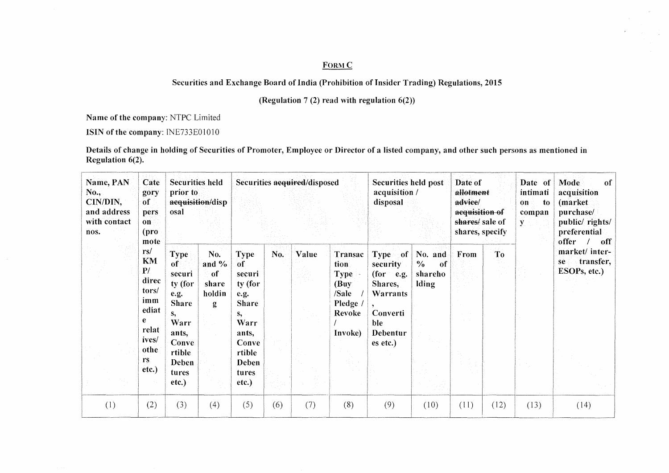## FORM C

i C

## Securities and Exchange Board of India (Prohibition of Insider Trading) Regulations, 2015

#### (Regulation 7 (2) read with regulation  $6(2)$ )

Name of the company: NTPC Limited

ISIN of the company: INE733E01010

Details of change in holding of Securities of Promoter, Employee or Director of a listed company, and other such persons as mentioned in Regulation  $6(2)$ .

| Name, PAN<br>Securities held<br>Cate<br>No.,<br>prior to<br>gory<br>CIN/DIN,<br>acquisition/disp<br>of<br>and address<br>osal<br>pers<br>with contact<br>$\mathbf{on}$<br>(pro<br>nos.<br>mote |                                                                                 |                                                                                         |                                              |                                                                                                       | Securities acquired/disposed |       |                                                                                   |                                                                                                     | Securities held post<br>acquisition /<br>disposal  |      | Date of<br>allotment<br>advice/<br>acquisition of<br>shares/ sale of<br>shares, specify |      | Mode<br>of<br>acquisition<br>(market<br>purchase/<br>public/rights/<br>preferential<br>offer<br>off |
|------------------------------------------------------------------------------------------------------------------------------------------------------------------------------------------------|---------------------------------------------------------------------------------|-----------------------------------------------------------------------------------------|----------------------------------------------|-------------------------------------------------------------------------------------------------------|------------------------------|-------|-----------------------------------------------------------------------------------|-----------------------------------------------------------------------------------------------------|----------------------------------------------------|------|-----------------------------------------------------------------------------------------|------|-----------------------------------------------------------------------------------------------------|
|                                                                                                                                                                                                | rs/<br><b>KM</b><br>P/<br>direc<br>tors/<br>imm<br>ediat<br>e<br>relat<br>ives/ | Type<br>of<br>securi<br>ty (for<br>e.g.<br><b>Share</b><br>s,<br>Warr<br>ants,<br>Conve | No.<br>and $%$<br>of<br>share<br>holdin<br>g | <b>Type</b><br><b>of</b><br>securi<br>ty (for<br>e.g.<br><b>Share</b><br>S,<br>Warr<br>ants,<br>Conve | No.                          | Value | Transac<br>tion<br><b>Type</b><br>(Buy)<br>/Sale<br>Pledge /<br>Revoke<br>Invoke) | Type of<br>security<br>$for$ e.g.<br>Shares,<br>Warrants<br>Converti<br>ble<br>Debentur<br>es etc.) | No. and<br>$\frac{0}{0}$<br>of<br>shareho<br>lding | From | To                                                                                      |      | market/ inter-<br>transfer,<br>se.<br>ESOPs, etc.)                                                  |
|                                                                                                                                                                                                | othe<br>rs.<br>etc.)                                                            | rtible<br>Deben<br>tures<br>etc.)                                                       |                                              | rtible<br>Deben<br>tures<br>etc.)                                                                     |                              |       |                                                                                   |                                                                                                     |                                                    |      |                                                                                         |      |                                                                                                     |
| (1)                                                                                                                                                                                            | (2)                                                                             | (3)                                                                                     | (4)                                          | (5)                                                                                                   | (6)                          | (7)   | (8)                                                                               | (9)                                                                                                 | (10)                                               | (11) | (12)                                                                                    | (13) | (14)                                                                                                |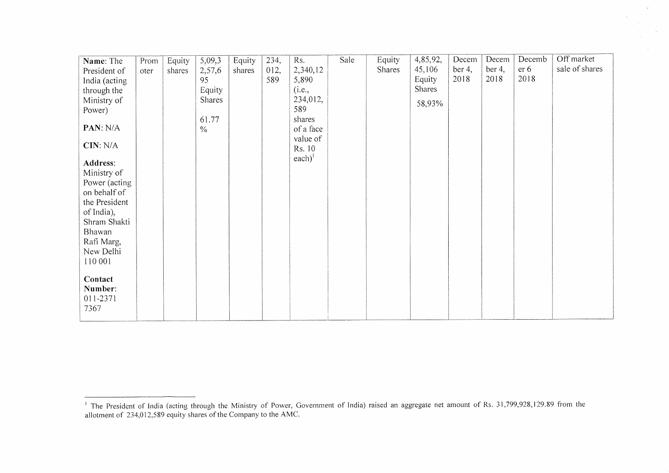| Name: The     | Prom | Equity | 5,09,3        | Equity | 234, | Rs.                        | Sale | Equity | 4,85,92, | Decem  | Decem  | Decemb | Off market     |
|---------------|------|--------|---------------|--------|------|----------------------------|------|--------|----------|--------|--------|--------|----------------|
| President of  | oter | shares | 2,57,6        | shares | 012, | 2,340,12                   |      | Shares | 45,106   | ber 4, | ber 4, | er 6   | sale of shares |
| India (acting |      |        | 95            |        | 589  | 5,890                      |      |        | Equity   | 2018   | 2018   | 2018   |                |
| through the   |      |        | Equity        |        |      | (i.e.,                     |      |        | Shares   |        |        |        |                |
| Ministry of   |      |        | Shares        |        |      | 234,012,                   |      |        |          |        |        |        |                |
| Power)        |      |        |               |        |      | 589                        |      |        | 58,93%   |        |        |        |                |
|               |      |        | 61.77         |        |      | shares                     |      |        |          |        |        |        |                |
| PAN: N/A      |      |        | $\frac{0}{6}$ |        |      | of a face                  |      |        |          |        |        |        |                |
|               |      |        |               |        |      | value of                   |      |        |          |        |        |        |                |
| CIN: N/A      |      |        |               |        |      | Rs. 10                     |      |        |          |        |        |        |                |
|               |      |        |               |        |      | $\text{each}$ <sup>1</sup> |      |        |          |        |        |        |                |
| Address:      |      |        |               |        |      |                            |      |        |          |        |        |        |                |
| Ministry of   |      |        |               |        |      |                            |      |        |          |        |        |        |                |
| Power (acting |      |        |               |        |      |                            |      |        |          |        |        |        |                |
| on behalf of  |      |        |               |        |      |                            |      |        |          |        |        |        |                |
| the President |      |        |               |        |      |                            |      |        |          |        |        |        |                |
| of India),    |      |        |               |        |      |                            |      |        |          |        |        |        |                |
| Shram Shakti  |      |        |               |        |      |                            |      |        |          |        |        |        |                |
| Bhawan        |      |        |               |        |      |                            |      |        |          |        |        |        |                |
| Rafi Marg,    |      |        |               |        |      |                            |      |        |          |        |        |        |                |
| New Delhi     |      |        |               |        |      |                            |      |        |          |        |        |        |                |
| 110 001       |      |        |               |        |      |                            |      |        |          |        |        |        |                |
|               |      |        |               |        |      |                            |      |        |          |        |        |        |                |
| Contact       |      |        |               |        |      |                            |      |        |          |        |        |        |                |
| Number:       |      |        |               |        |      |                            |      |        |          |        |        |        |                |
| 011-2371      |      |        |               |        |      |                            |      |        |          |        |        |        |                |
| 7367          |      |        |               |        |      |                            |      |        |          |        |        |        |                |
|               |      |        |               |        |      |                            |      |        |          |        |        |        |                |

 $\sim$ 

<sup>1</sup>The President of India (aeting through the Ministry of Power, Government of India) raised an aggregate net amount of Rs. 31,799,928,129.89 from the allotment of 234,012,589 equity shares of the Company to the AMC.